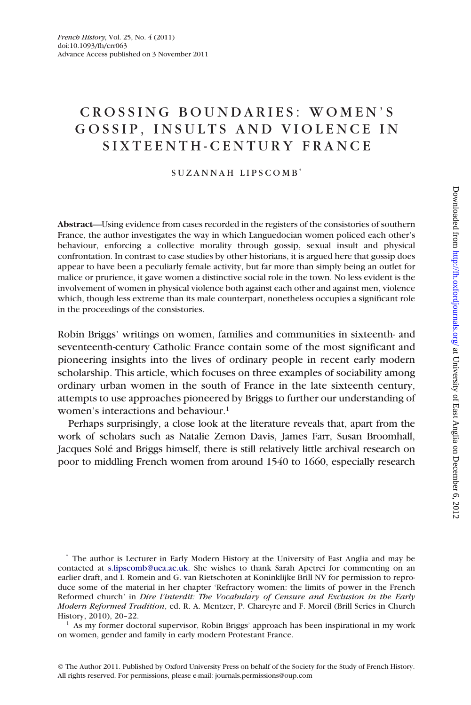## CROSSING BOUNDARIES: WOMEN'S GOSSIP, INSULTS AND VIOLENCE IN SIXTEENTH-CENTURY FRANCE

## SUZANNAH LIPSCOMB<sup>\*</sup>

**Abstract—**Using evidence from cases recorded in the registers of the consistories of southern France, the author investigates the way in which Languedocian women policed each other's behaviour, enforcing a collective morality through gossip, sexual insult and physical confrontation. In contrast to case studies by other historians, it is argued here that gossip does appear to have been a peculiarly female activity, but far more than simply being an outlet for malice or prurience, it gave women a distinctive social role in the town. No less evident is the involvement of women in physical violence both against each other and against men, violence which, though less extreme than its male counterpart, nonetheless occupies a significant role in the proceedings of the consistories.

Robin Briggs' writings on women, families and communities in sixteenth- and seventeenth-century Catholic France contain some of the most significant and pioneering insights into the lives of ordinary people in recent early modern scholarship. This article, which focuses on three examples of sociability among ordinary urban women in the south of France in the late sixteenth century, attempts to use approaches pioneered by Briggs to further our understanding of women's interactions and behaviour.<sup>1</sup>

Perhaps surprisingly, a close look at the literature reveals that, apart from the work of scholars such as Natalie Zemon Davis, James Farr, Susan Broomhall, Jacques Solé and Briggs himself, there is still relatively little archival research on poor to middling French women from around 1540 to 1660, especially research

\* The author is Lecturer in Early Modern History at the University of East Anglia and may be contacted at s.[lipscomb@uea.ac.uk.](http://lipscomb@uea.ac.uk.) She wishes to thank Sarah Apetrei for commenting on an earlier draft, and I. Romein and G. van Rietschoten at Koninklijke Brill NV for permission to reproduce some of the material in her chapter 'Refractory women: the limits of power in the French Reformed church' in *Dire l'interdit: The Vocabulary of Censure and Exclusion in the Early Modern Reformed Tradition*, ed. R. A. Mentzer, P. Chareyre and F. Moreil (Brill Series in Church History, 2010), 20–22.

<sup>1</sup> As my former doctoral supervisor, Robin Briggs' approach has been inspirational in my work on women, gender and family in early modern Protestant France.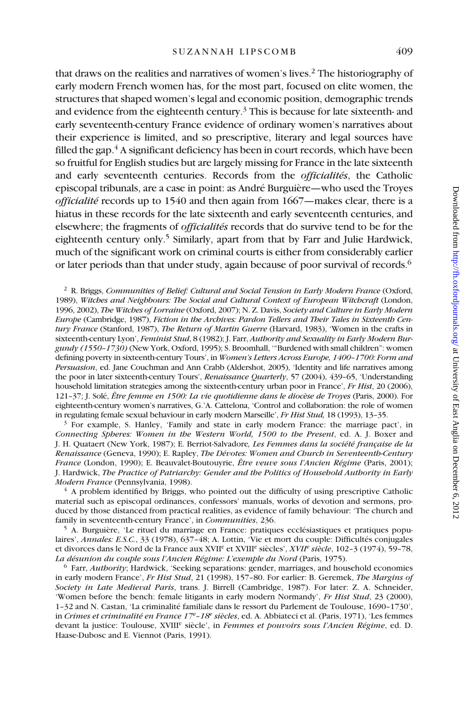that draws on the realities and narratives of women's lives.2 The historiography of early modern French women has, for the most part, focused on elite women, the structures that shaped women's legal and economic position, demographic trends and evidence from the eighteenth century.<sup>3</sup> This is because for late sixteenth- and early seventeenth-century France evidence of ordinary women's narratives about their experience is limited, and so prescriptive, literary and legal sources have filled the gap. $4$  A significant deficiency has been in court records, which have been so fruitful for English studies but are largely missing for France in the late sixteenth and early seventeenth centuries. Records from the *officialités*, the Catholic episcopal tribunals, are a case in point: as André Burguière—who used the Troyes *officialité* records up to 1540 and then again from 1667—makes clear, there is a hiatus in these records for the late sixteenth and early seventeenth centuries, and elsewhere; the fragments of *officialités* records that do survive tend to be for the eighteenth century only.<sup>5</sup> Similarly, apart from that by Farr and Julie Hardwick, much of the significant work on criminal courts is either from considerably earlier or later periods than that under study, again because of poor survival of records.<sup>6</sup>

<sup>2</sup> R. Briggs, *Communities of Belief: Cultural and Social Tension in Early Modern France* (Oxford, 1989), *Witches and Neighbours: The Social and Cultural Context of European Witchcraft* (London, 1996, 2002), *The Witches of Lorraine* (Oxford, 2007); N. Z. Davis, *Society and Culture in Early Modern Europe* (Cambridge, 1987), *Fiction in the Archives: Pardon Tellers and Their Tales in Sixteenth Century France* (Stanford, 1987), *The Return of Martin Guerre* (Harvard, 1983), 'Women in the crafts in sixteenth-century Lyon', *Feminist Stud*, 8 (1982); J. Farr, *Authority and Sexuality in Early Modern Burgundy (1550–1730)* (New York, Oxford, 1995); S. Broomhall, '"Burdened with small children": women defining poverty in sixteenth-century Tours', in *Women's Letters Across Europe, 1400–1700: Form and Persuasion*, ed. Jane Couchman and Ann Crabb (Aldershot, 2005), 'Identity and life narratives among the poor in later sixteenth-century Tours', *Renaissance Quarterly*, 57 (2004), 439–65, 'Understanding household limitation strategies among the sixteenth-century urban poor in France', *Fr Hist*, 20 (2006), 121–37; J. Solé, *Être femme en 1500: La vie quotidienne dans le diocèse de Troyes* (Paris, 2000). For eighteenth-century women's narratives, G.'A. Cattelona, 'Control and collaboration: the role of women in regulating female sexual behaviour in early modern Marseille', *Fr Hist Stud,* 18 (1993), 13–35.

<sup>3</sup> For example, S. Hanley, 'Family and state in early modern France: the marriage pact', in *Connecting Spheres: Women in the Western World, 1500 to the Present*, ed. A. J. Boxer and J. H. Quataert (New York, 1987); E. Berriot-Salvadore*, Les Femmes dans la société française de la Renaissance* (Geneva, 1990); E. Rapley, *The Dévotes: Women and Church in Seventeenth-Century France* (London, 1990); E. Beauvalet-Boutouyrie, *Être veuve sous l'Ancien Régime* (Paris, 2001); J. Hardwick, *The Practice of Patriarchy: Gender and the Politics of Household Authority in Early Modern France* (Pennsylvania, 1998).

<sup>4</sup> A problem identified by Briggs, who pointed out the difficulty of using prescriptive Catholic material such as episcopal ordinances, confessors' manuals, works of devotion and sermons, produced by those distanced from practical realities, as evidence of family behaviour: 'The church and family in seventeenth-century France', in *Communities*, 236.

<sup>5</sup> A. Burguière, 'Le rituel du marriage en France: pratiques ecclésiastiques et pratiques populaires', *Annales: E.S.C.*, 33 (1978), 637–48; A. Lottin, 'Vie et mort du couple: Difficultés conjugales et divorces dans le Nord de la France aux XVIIe et XVIIIe siècles', *XVIIe siècle*, 102–3 (1974), 59–78, *La désunion du couple sous l'Ancien Régime: L'exemple du Nord* (Paris, 1975).

<sup>6</sup> Farr, *Authority*; Hardwick, 'Seeking separations: gender, marriages, and household economies in early modern France', *Fr Hist Stud*, 21 (1998), 157–80. For earlier: B. Geremek, *The Margins of Society in Late Medieval Paris*, trans. J. Birrell (Cambridge, 1987). For later: Z. A. Schneider, 'Women before the bench: female litigants in early modern Normandy', *Fr Hist Stud*, 23 (2000), 1–32 and N. Castan, 'La criminalité familiale dans le ressort du Parlement de Toulouse, 1690–1730', in *Crimes et criminalité en France 17<sup>e</sup> –18e siècles*, ed. A. Abbiateci et al. (Paris, 1971), 'Les femmes devant la justice: Toulouse, XVIIIe siècle', in *Femmes et pouvoirs sous l'Ancien Régime*, ed. D. Haase-Dubosc and E. Viennot (Paris, 1991).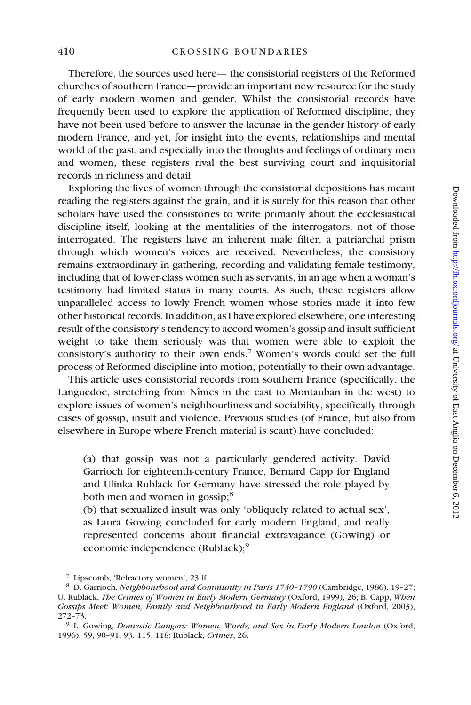Therefore, the sources used here— the consistorial registers of the Reformed churches of southern France—provide an important new resource for the study of early modern women and gender. Whilst the consistorial records have frequently been used to explore the application of Reformed discipline, they have not been used before to answer the lacunae in the gender history of early modern France, and yet, for insight into the events, relationships and mental world of the past, and especially into the thoughts and feelings of ordinary men and women, these registers rival the best surviving court and inquisitorial records in richness and detail.

Exploring the lives of women through the consistorial depositions has meant reading the registers against the grain, and it is surely for this reason that other scholars have used the consistories to write primarily about the ecclesiastical discipline itself, looking at the mentalities of the interrogators, not of those interrogated. The registers have an inherent male filter, a patriarchal prism through which women's voices are received. Nevertheless, the consistory remains extraordinary in gathering, recording and validating female testimony, including that of lower-class women such as servants, in an age when a woman's testimony had limited status in many courts. As such, these registers allow unparalleled access to lowly French women whose stories made it into few other historical records. In addition, as I have explored elsewhere, one interesting result of the consistory's tendency to accord women's gossip and insult sufficient weight to take them seriously was that women were able to exploit the consistory's authority to their own ends.7 Women's words could set the full process of Reformed discipline into motion, potentially to their own advantage.

This article uses consistorial records from southern France (specifically, the Languedoc, stretching from Nîmes in the east to Montauban in the west) to explore issues of women's neighbourliness and sociability, specifically through cases of gossip, insult and violence. Previous studies (of France, but also from elsewhere in Europe where French material is scant) have concluded:

(a) that gossip was not a particularly gendered activity. David Garrioch for eighteenth-century France, Bernard Capp for England and Ulinka Rublack for Germany have stressed the role played by both men and women in gossip;<sup>8</sup>

(b) that sexualized insult was only 'obliquely related to actual sex', as Laura Gowing concluded for early modern England, and really represented concerns about financial extravagance (Gowing) or economic independence (Rublack);<sup>9</sup>

<sup>7</sup> Lipscomb, 'Refractory women', 23 ff.

<sup>8</sup> D. Garrioch, *Neighbourhood and Community in Paris 1740–1790* (Cambridge, 1986), 19–27; U. Rublack, *The Crimes of Women in Early Modern Germany* (Oxford, 1999), 26; B. Capp, *When Gossips Meet: Women, Family and Neighbourhood in Early Modern England* (Oxford, 2003), 272–73.

<sup>9</sup> L. Gowing, *Domestic Dangers: Women, Words, and Sex in Early Modern London* (Oxford, 1996), 59, 90–91, 93, 115, 118; Rublack, *Crimes*, 26.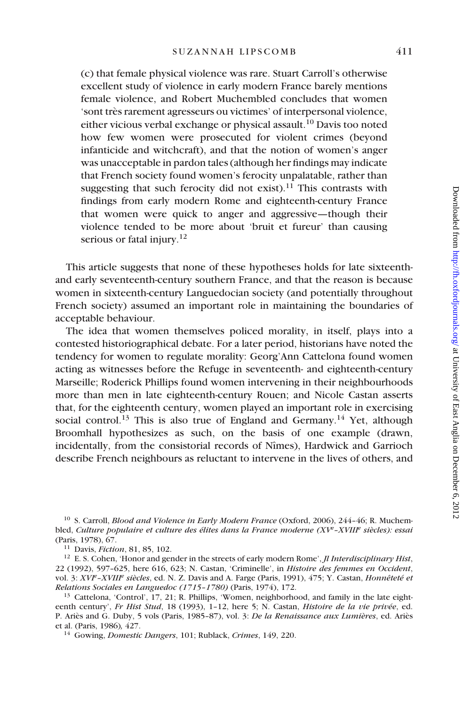(c) that female physical violence was rare. Stuart Carroll's otherwise excellent study of violence in early modern France barely mentions female violence, and Robert Muchembled concludes that women 'sont très rarement agresseurs ou victimes' of interpersonal violence, either vicious verbal exchange or physical assault.10 Davis too noted how few women were prosecuted for violent crimes (beyond infanticide and witchcraft), and that the notion of women's anger was unacceptable in pardon tales (although her findings may indicate that French society found women's ferocity unpalatable, rather than suggesting that such ferocity did not exist).<sup>11</sup> This contrasts with findings from early modern Rome and eighteenth-century France that women were quick to anger and aggressive—though their violence tended to be more about 'bruit et fureur' than causing serious or fatal injury.<sup>12</sup>

This article suggests that none of these hypotheses holds for late sixteenthand early seventeenth-century southern France, and that the reason is because women in sixteenth-century Languedocian society (and potentially throughout French society) assumed an important role in maintaining the boundaries of acceptable behaviour.

The idea that women themselves policed morality, in itself, plays into a contested historiographical debate. For a later period, historians have noted the tendency for women to regulate morality: Georg'Ann Cattelona found women acting as witnesses before the Refuge in seventeenth- and eighteenth-century Marseille; Roderick Phillips found women intervening in their neighbourhoods more than men in late eighteenth-century Rouen; and Nicole Castan asserts that, for the eighteenth century, women played an important role in exercising social control.<sup>13</sup> This is also true of England and Germany.<sup>14</sup> Yet, although Broomhall hypothesizes as such, on the basis of one example (drawn, incidentally, from the consistorial records of Nîmes), Hardwick and Garrioch describe French neighbours as reluctant to intervene in the lives of others, and

<sup>10</sup> S. Carroll, *Blood and Violence in Early Modern France* (Oxford, 2006), 244–46; R. Muchembled, *Culture populaire et culture des élites dans la France moderne (XV<sup>e</sup> –XVIIIe siècles): essai* (Paris, 1978), 67.

<sup>11</sup> Davis, *Fiction*, 81, 85, 102.

<sup>12</sup> E. S. Cohen, 'Honor and gender in the streets of early modern Rome', *Jl Interdisciplinary Hist*, 22 (1992), 597–625, here 616, 623; N. Castan, 'Criminelle', in *Histoire des femmes en Occident*, vol. 3: *XVIe –XVIIIe siècles*, ed. N. Z. Davis and A. Farge (Paris, 1991), 475; Y. Castan, *Honnêteté et Relations Sociales en Languedoc (1715–1780)* (Paris, 1974), 172.

<sup>13</sup> Cattelona, 'Control', 17, 21; R. Phillips, 'Women, neighborhood, and family in the late eighteenth century', *Fr Hist Stud*, 18 (1993), 1–12, here 5; N. Castan, *Histoire de la vie privée*, ed. P. Ariès and G. Duby, 5 vols (Paris, 1985–87), vol. 3: *De la Renaissance aux Lumières*, ed. Ariès et al. (Paris, 1986)*,* 427.

<sup>14</sup> Gowing, *Domestic Dangers*, 101; Rublack, *Crimes*, 149, 220.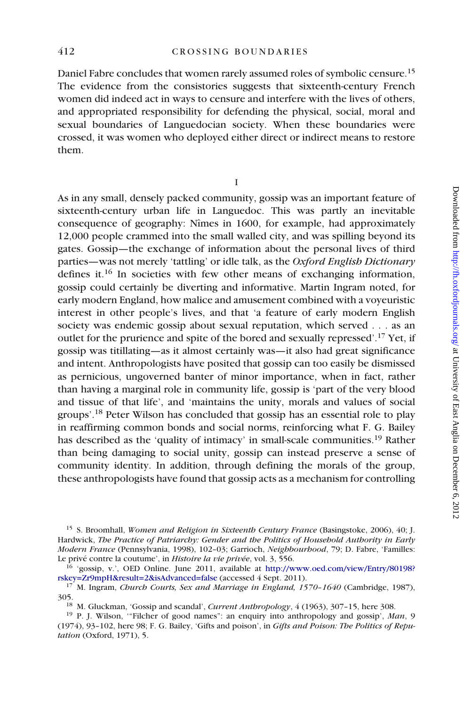Daniel Fabre concludes that women rarely assumed roles of symbolic censure.15 The evidence from the consistories suggests that sixteenth-century French women did indeed act in ways to censure and interfere with the lives of others, and appropriated responsibility for defending the physical, social, moral and sexual boundaries of Languedocian society. When these boundaries were crossed, it was women who deployed either direct or indirect means to restore them.

I

As in any small, densely packed community, gossip was an important feature of sixteenth-century urban life in Languedoc. This was partly an inevitable consequence of geography: Nîmes in 1600, for example, had approximately 12,000 people crammed into the small walled city, and was spilling beyond its gates. Gossip—the exchange of information about the personal lives of third parties—was not merely 'tattling' or idle talk, as the *Oxford English Dictionary* defines it.16 In societies with few other means of exchanging information, gossip could certainly be diverting and informative. Martin Ingram noted, for early modern England, how malice and amusement combined with a voyeuristic interest in other people's lives, and that 'a feature of early modern English society was endemic gossip about sexual reputation, which served . . . as an outlet for the prurience and spite of the bored and sexually repressed'.17 Yet, if gossip was titillating—as it almost certainly was—it also had great significance and intent. Anthropologists have posited that gossip can too easily be dismissed as pernicious, ungoverned banter of minor importance, when in fact, rather than having a marginal role in community life, gossip is 'part of the very blood and tissue of that life', and 'maintains the unity, morals and values of social groups'.18 Peter Wilson has concluded that gossip has an essential role to play in reaffirming common bonds and social norms, reinforcing what F. G. Bailey has described as the 'quality of intimacy' in small-scale communities.<sup>19</sup> Rather than being damaging to social unity, gossip can instead preserve a sense of community identity. In addition, through defining the morals of the group, these anthropologists have found that gossip acts as a mechanism for controlling

<sup>15</sup> S. Broomhall, *Women and Religion in Sixteenth Century France* (Basingstoke, 2006), 40; J. Hardwick, *The Practice of Patriarchy: Gender and the Politics of Household Authority in Early Modern France* (Pennsylvania, 1998), 102–03; Garrioch, *Neighbourhood*, 79; D. Fabre, 'Familles: Le privé contre la coutume', in *Histoire la vie privée*, vol. 3, 556.

<sup>16</sup> 'gossip, v.', OED Online. June 2011, available at [http://www.oed.com/view/Entry/80198?](http://s.lipscomb@uea.ac.uk.) [rskey=Zr9mpH&result=2&isAdvanced=false](http://s.lipscomb@uea.ac.uk.) (accessed 4 Sept. 2011).

<sup>17</sup> M. Ingram, *Church Courts, Sex and Marriage in England, 1570–1640* (Cambridge, 1987), 305.

<sup>18</sup> M. Gluckman, 'Gossip and scandal', *Current Anthropology*, 4 (1963), 307–15, here 308.

<sup>19</sup> P. J. Wilson, '"Filcher of good names": an enquiry into anthropology and gossip', *Man*, 9 (1974), 93–102, here 98; F. G. Bailey, 'Gifts and poison', in *Gifts and Poison: The Politics of Reputation* (Oxford, 1971), 5.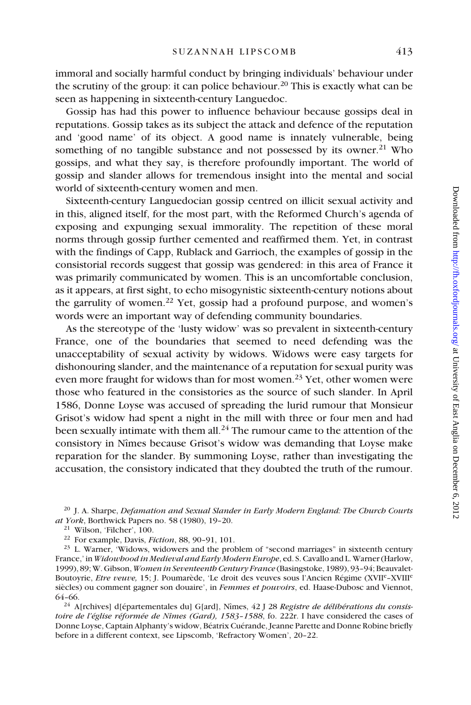immoral and socially harmful conduct by bringing individuals' behaviour under the scrutiny of the group: it can police behaviour.<sup>20</sup> This is exactly what can be seen as happening in sixteenth-century Languedoc.

Gossip has had this power to influence behaviour because gossips deal in reputations. Gossip takes as its subject the attack and defence of the reputation and 'good name' of its object. A good name is innately vulnerable, being something of no tangible substance and not possessed by its owner.<sup>21</sup> Who gossips, and what they say, is therefore profoundly important. The world of gossip and slander allows for tremendous insight into the mental and social world of sixteenth-century women and men.

Sixteenth-century Languedocian gossip centred on illicit sexual activity and in this, aligned itself, for the most part, with the Reformed Church's agenda of exposing and expunging sexual immorality. The repetition of these moral norms through gossip further cemented and reaffirmed them. Yet, in contrast with the findings of Capp, Rublack and Garrioch, the examples of gossip in the consistorial records suggest that gossip was gendered: in this area of France it was primarily communicated by women. This is an uncomfortable conclusion, as it appears, at first sight, to echo misogynistic sixteenth-century notions about the garrulity of women.<sup>22</sup> Yet, gossip had a profound purpose, and women's words were an important way of defending community boundaries.

As the stereotype of the 'lusty widow' was so prevalent in sixteenth-century France, one of the boundaries that seemed to need defending was the unacceptability of sexual activity by widows. Widows were easy targets for dishonouring slander, and the maintenance of a reputation for sexual purity was even more fraught for widows than for most women.<sup>23</sup> Yet, other women were those who featured in the consistories as the source of such slander. In April 1586, Donne Loyse was accused of spreading the lurid rumour that Monsieur Grisot's widow had spent a night in the mill with three or four men and had been sexually intimate with them all.<sup>24</sup> The rumour came to the attention of the consistory in Nîmes because Grisot's widow was demanding that Loyse make reparation for the slander. By summoning Loyse, rather than investigating the accusation, the consistory indicated that they doubted the truth of the rumour.

<sup>20</sup> J. A. Sharpe, *Defamation and Sexual Slander in Early Modern England: The Church Courts at York*, Borthwick Papers no. 58 (1980), 19–20.

<sup>21</sup> Wilson, 'Filcher', 100.

<sup>22</sup> For example, Davis, *Fiction*, 88, 90–91, 101.

<sup>23</sup> L. Warner, 'Widows, widowers and the problem of "second marriages" in sixteenth century France,' in *Widowhood in Medieval and Early Modern Europe*, ed. S. Cavallo and L. Warner (Harlow, 1999), 89; W. Gibson, *Women in Seventeenth Century France* (Basingstoke, 1989), 93–94; Beauvalet-Boutoyrie, *Etre veuve,* 15; J. Poumarède, 'Le droit des veuves sous l'Ancien Régime (XVIIe–XVIIIe siècles) ou comment gagner son douaire', in *Femmes et pouvoirs*, ed. Haase-Dubosc and Viennot, 64–66.

<sup>24</sup> A[rchives] d[épartementales du] G[ard], Nîmes, 42 J 28 *Registre de délibérations du consistoire de l'église réformée de Nîmes (Gard), 1583–1588*, fo. 222r. I have considered the cases of Donne Loyse, Captain Alphanty's widow, Béatrix Cuérande, Jeanne Parette and Donne Robine briefly before in a different context, see Lipscomb, 'Refractory Women', 20–22.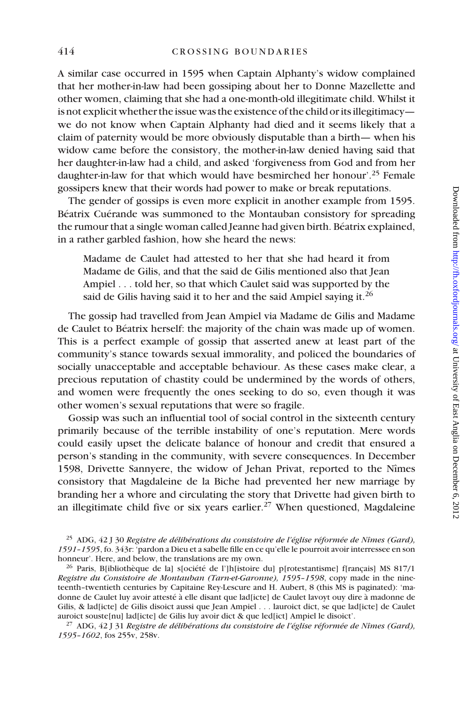A similar case occurred in 1595 when Captain Alphanty's widow complained that her mother-in-law had been gossiping about her to Donne Mazellette and other women, claiming that she had a one-month-old illegitimate child. Whilst it is not explicit whether the issue was the existence of the child or its illegitimacy we do not know when Captain Alphanty had died and it seems likely that a claim of paternity would be more obviously disputable than a birth— when his widow came before the consistory, the mother-in-law denied having said that her daughter-in-law had a child, and asked 'forgiveness from God and from her daughter-in-law for that which would have besmirched her honour'.<sup>25</sup> Female gossipers knew that their words had power to make or break reputations.

The gender of gossips is even more explicit in another example from 1595. Béatrix Cuérande was summoned to the Montauban consistory for spreading the rumour that a single woman called Jeanne had given birth. Béatrix explained, in a rather garbled fashion, how she heard the news:

Madame de Caulet had attested to her that she had heard it from Madame de Gilis, and that the said de Gilis mentioned also that Jean Ampiel . . . told her, so that which Caulet said was supported by the said de Gilis having said it to her and the said Ampiel saying it.<sup>26</sup>

The gossip had travelled from Jean Ampiel via Madame de Gilis and Madame de Caulet to Béatrix herself: the majority of the chain was made up of women. This is a perfect example of gossip that asserted anew at least part of the community's stance towards sexual immorality, and policed the boundaries of socially unacceptable and acceptable behaviour. As these cases make clear, a precious reputation of chastity could be undermined by the words of others, and women were frequently the ones seeking to do so, even though it was other women's sexual reputations that were so fragile.

Gossip was such an influential tool of social control in the sixteenth century primarily because of the terrible instability of one's reputation. Mere words could easily upset the delicate balance of honour and credit that ensured a person's standing in the community, with severe consequences. In December 1598, Drivette Sannyere, the widow of Jehan Privat, reported to the Nîmes consistory that Magdaleine de la Biche had prevented her new marriage by branding her a whore and circulating the story that Drivette had given birth to an illegitimate child five or six years earlier.<sup>27</sup> When questioned, Magdaleine

<sup>25</sup> ADG, 42 J 30 *Registre de délibérations du consistoire de l'église réformée de Nîmes (Gard), 1591–1595*, fo. 343r: 'pardon a Dieu et a sabelle fille en ce qu'elle le pourroit avoir interressee en son honneur'. Here, and below, the translations are my own.

<sup>26</sup> Paris, B[ibliothèque de la] s[ociété de l']h[istoire du] p[rotestantisme] f[rançais] MS 817/1 *Registre du Consistoire de Montauban (Tarn-et-Garonne), 1595–1598*, copy made in the nineteenth–twentieth centuries by Capitaine Rey-Lescure and H. Aubert, 8 (this MS is paginated): 'madonne de Caulet luy avoir attesté à elle disant que lad[icte] de Caulet lavoyt ouy dire à madonne de Gilis, & lad[icte] de Gilis disoict aussi que Jean Ampiel . . . lauroict dict, se que lad[icte] de Caulet auroict souste[nu] lad[icte] de Gilis luy avoir dict & que led[ict] Ampiel le disoict'.

<sup>27</sup> ADG, 42 J 31 *Registre de délibérations du consistoire de l'église réformée de Nîmes (Gard), 1595–1602*, fos 255v, 258v.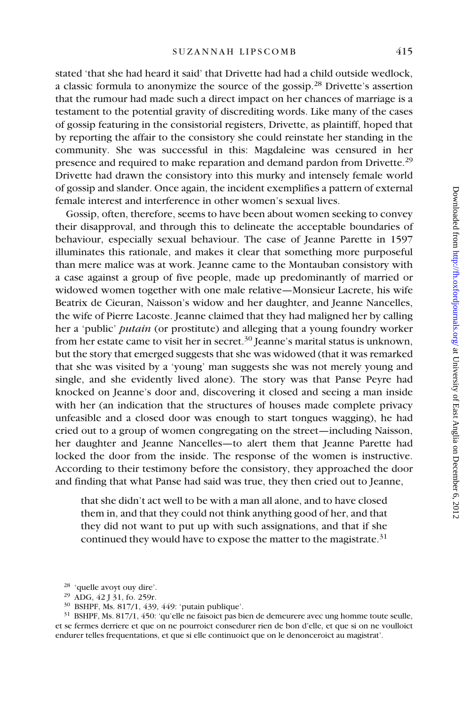stated 'that she had heard it said' that Drivette had had a child outside wedlock, a classic formula to anonymize the source of the gossip.28 Drivette's assertion that the rumour had made such a direct impact on her chances of marriage is a testament to the potential gravity of discrediting words. Like many of the cases of gossip featuring in the consistorial registers, Drivette, as plaintiff, hoped that by reporting the affair to the consistory she could reinstate her standing in the community. She was successful in this: Magdaleine was censured in her presence and required to make reparation and demand pardon from Drivette.<sup>29</sup> Drivette had drawn the consistory into this murky and intensely female world of gossip and slander. Once again, the incident exemplifies a pattern of external female interest and interference in other women's sexual lives.

Gossip, often, therefore, seems to have been about women seeking to convey their disapproval, and through this to delineate the acceptable boundaries of behaviour, especially sexual behaviour. The case of Jeanne Parette in 1597 illuminates this rationale, and makes it clear that something more purposeful than mere malice was at work. Jeanne came to the Montauban consistory with a case against a group of five people, made up predominantly of married or widowed women together with one male relative—Monsieur Lacrete, his wife Beatrix de Cieuran, Naisson's widow and her daughter, and Jeanne Nancelles, the wife of Pierre Lacoste. Jeanne claimed that they had maligned her by calling her a 'public' *putain* (or prostitute) and alleging that a young foundry worker from her estate came to visit her in secret.<sup>30</sup> Jeanne's marital status is unknown, but the story that emerged suggests that she was widowed (that it was remarked that she was visited by a 'young' man suggests she was not merely young and single, and she evidently lived alone). The story was that Panse Peyre had knocked on Jeanne's door and, discovering it closed and seeing a man inside with her (an indication that the structures of houses made complete privacy unfeasible and a closed door was enough to start tongues wagging), he had cried out to a group of women congregating on the street—including Naisson, her daughter and Jeanne Nancelles—to alert them that Jeanne Parette had locked the door from the inside. The response of the women is instructive. According to their testimony before the consistory, they approached the door and finding that what Panse had said was true, they then cried out to Jeanne,

that she didn't act well to be with a man all alone, and to have closed them in, and that they could not think anything good of her, and that they did not want to put up with such assignations, and that if she continued they would have to expose the matter to the magistrate. $31$ 

<sup>30</sup> BSHPF, Ms. 817/1, 439, 449: 'putain publique'.

<sup>31</sup> BSHPF, Ms. 817/1, 450: 'qu'elle ne faisoict pas bien de demeurere avec ung homme toute seulle, et se fermes derriere et que on ne pourroict consedurer rien de bon d'elle, et que si on ne voulloict endurer telles frequentations, et que si elle continuoict que on le denonceroict au magistrat'.

<sup>28</sup> 'quelle avoyt ouy dire'.

<sup>29</sup> ADG, 42 J 31, fo. 259r.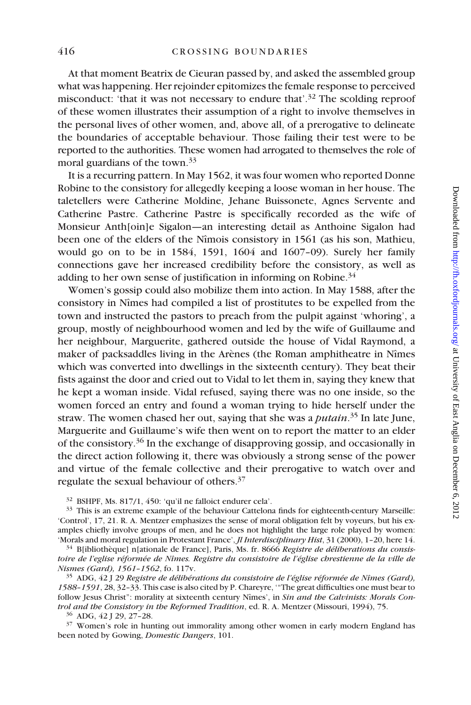At that moment Beatrix de Cieuran passed by, and asked the assembled group what was happening. Her rejoinder epitomizes the female response to perceived misconduct: 'that it was not necessary to endure that'.<sup>32</sup> The scolding reproof of these women illustrates their assumption of a right to involve themselves in the personal lives of other women, and, above all, of a prerogative to delineate the boundaries of acceptable behaviour. Those failing their test were to be reported to the authorities. These women had arrogated to themselves the role of moral guardians of the town.<sup>33</sup>

It is a recurring pattern. In May 1562, it was four women who reported Donne Robine to the consistory for allegedly keeping a loose woman in her house. The taletellers were Catherine Moldine, Jehane Buissonete, Agnes Servente and Catherine Pastre. Catherine Pastre is specifically recorded as the wife of Monsieur Anth[oin]e Sigalon—an interesting detail as Anthoine Sigalon had been one of the elders of the Nîmois consistory in 1561 (as his son, Mathieu, would go on to be in 1584, 1591, 1604 and 1607–09). Surely her family connections gave her increased credibility before the consistory, as well as adding to her own sense of justification in informing on Robine. $34$ 

Women's gossip could also mobilize them into action. In May 1588, after the consistory in Nîmes had compiled a list of prostitutes to be expelled from the town and instructed the pastors to preach from the pulpit against 'whoring', a group, mostly of neighbourhood women and led by the wife of Guillaume and her neighbour, Marguerite, gathered outside the house of Vidal Raymond, a maker of packsaddles living in the Arènes (the Roman amphitheatre in Nîmes which was converted into dwellings in the sixteenth century). They beat their fists against the door and cried out to Vidal to let them in, saying they knew that he kept a woman inside. Vidal refused, saying there was no one inside, so the women forced an entry and found a woman trying to hide herself under the straw. The women chased her out, saying that she was a *putain*. 35 In late June, Marguerite and Guillaume's wife then went on to report the matter to an elder of the consistory.36 In the exchange of disapproving gossip, and occasionally in the direct action following it, there was obviously a strong sense of the power and virtue of the female collective and their prerogative to watch over and regulate the sexual behaviour of others.37

<sup>32</sup> BSHPF, Ms. 817/1, 450: 'qu'il ne falloict endurer cela'.

<sup>33</sup> This is an extreme example of the behaviour Cattelona finds for eighteenth-century Marseille: 'Control', 17, 21. R. A. Mentzer emphasizes the sense of moral obligation felt by voyeurs, but his examples chiefly involve groups of men, and he does not highlight the large role played by women: 'Morals and moral regulation in Protestant France', *Jl Interdisciplinary Hist*, 31 (2000), 1–20, here 14.

<sup>34</sup> B[ibliothèque] n[ationale de France], Paris, Ms. fr. 8666 *Registre de déliberations du consistoire de l'eglise réformée de Nîmes. Registre du consistoire de l'église chrestienne de la ville de Nismes (Gard), 1561–1562*, fo. 117v.

<sup>35</sup> ADG, 42 J 29 *Registre de délibérations du consistoire de l'église réformée de Nîmes (Gard), 1588–1591*, 28, 32–33. This case is also cited by P. Chareyre, '"The great difficulties one must bear to follow Jesus Christ": morality at sixteenth century Nîmes', in *Sin and the Calvinists: Morals Control and the Consistory in the Reformed Tradition*, ed. R. A. Mentzer (Missouri, 1994), 75.

<sup>36</sup> ADG, 42 J 29, 27–28.

<sup>37</sup> Women's role in hunting out immorality among other women in early modern England has been noted by Gowing, *Domestic Dangers*, 101.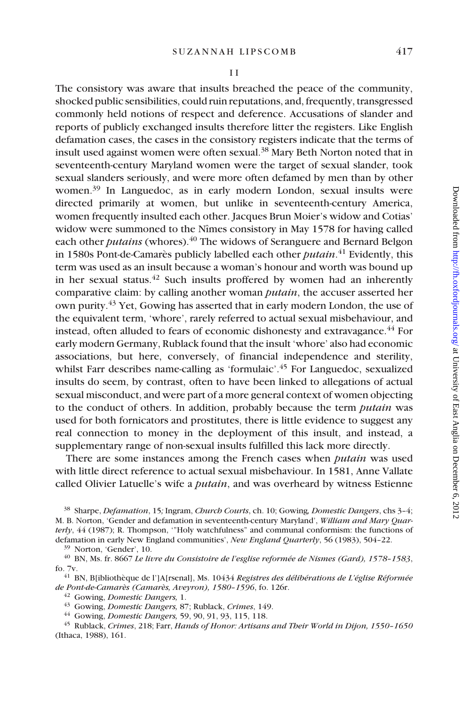The consistory was aware that insults breached the peace of the community, shocked public sensibilities, could ruin reputations, and, frequently, transgressed commonly held notions of respect and deference. Accusations of slander and reports of publicly exchanged insults therefore litter the registers. Like English defamation cases, the cases in the consistory registers indicate that the terms of insult used against women were often sexual.38 Mary Beth Norton noted that in seventeenth-century Maryland women were the target of sexual slander, took sexual slanders seriously, and were more often defamed by men than by other women.39 In Languedoc, as in early modern London, sexual insults were directed primarily at women, but unlike in seventeenth-century America, women frequently insulted each other. Jacques Brun Moier's widow and Cotias' widow were summoned to the Nîmes consistory in May 1578 for having called each other *putains* (whores).<sup>40</sup> The widows of Seranguere and Bernard Belgon in 1580s Pont-de-Camarès publicly labelled each other *putain*. 41 Evidently, this term was used as an insult because a woman's honour and worth was bound up in her sexual status. $42$  Such insults proffered by women had an inherently comparative claim: by calling another woman *putain*, the accuser asserted her own purity.<sup>43</sup> Yet, Gowing has asserted that in early modern London, the use of the equivalent term, 'whore', rarely referred to actual sexual misbehaviour, and instead, often alluded to fears of economic dishonesty and extravagance.<sup>44</sup> For early modern Germany, Rublack found that the insult 'whore' also had economic associations, but here, conversely, of financial independence and sterility, whilst Farr describes name-calling as 'formulaic'.<sup>45</sup> For Languedoc, sexualized insults do seem, by contrast, often to have been linked to allegations of actual sexual misconduct, and were part of a more general context of women objecting to the conduct of others. In addition, probably because the term *putain* was used for both fornicators and prostitutes, there is little evidence to suggest any real connection to money in the deployment of this insult, and instead, a supplementary range of non-sexual insults fulfilled this lack more directly.

There are some instances among the French cases when *putain* was used with little direct reference to actual sexual misbehaviour. In 1581, Anne Vallate called Olivier Latuelle's wife a *putain*, and was overheard by witness Estienne

<sup>38</sup> Sharpe, *Defamation*, 15*;* Ingram, *Church Courts*, ch. 10; Gowing*, Domestic Dangers*, chs 3–4; M. B. Norton, 'Gender and defamation in seventeenth-century Maryland', *William and Mary Quarterly*, 44 (1987); R. Thompson, '"Holy watchfulness" and communal conformism: the functions of defamation in early New England communities', *New England Quarterly*, 56 (1983), 504–22.

<sup>39</sup> Norton, 'Gender', 10.

<sup>40</sup> BN, Ms. fr. 8667 *Le livre du Consistoire de l'esglise reformée de Nismes (Gard), 1578–1583*, fo. 7v.

<sup>41</sup> BN, B[ibliothèque de l']A[rsenal], Ms. 10434 *Registres des délibérations de L'église Réformée de Pont-de-Camarès (Camarès, Aveyron), 1580–1596*, fo. 126r.

<sup>42</sup> Gowing, *Domestic Dangers,* 1.

<sup>43</sup> Gowing, *Domestic Dangers,* 87; Rublack, *Crimes*, 149.

<sup>44</sup> Gowing, *Domestic Dangers,* 59, 90, 91, 93, 115, 118.

<sup>45</sup> Rublack, *Crimes*, 218; Farr, *Hands of Honor: Artisans and Their World in Dijon, 1550–1650* (Ithaca, 1988), 161.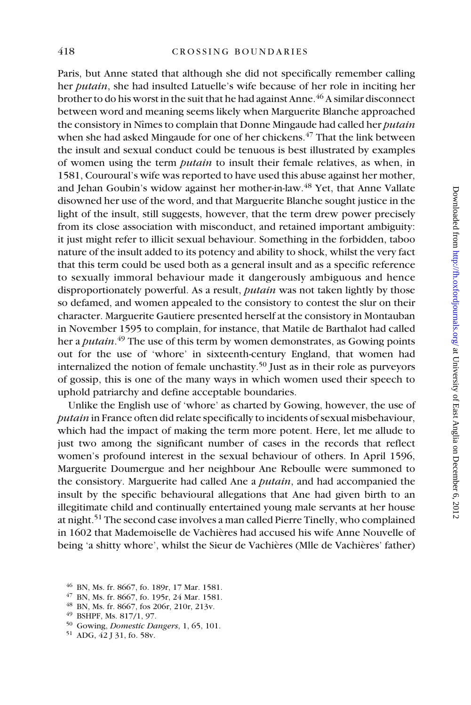Paris, but Anne stated that although she did not specifically remember calling her *putain*, she had insulted Latuelle's wife because of her role in inciting her brother to do his worst in the suit that he had against Anne.<sup>46</sup> A similar disconnect between word and meaning seems likely when Marguerite Blanche approached the consistory in Nîmes to complain that Donne Mingaude had called her *putain* when she had asked Mingaude for one of her chickens.<sup>47</sup> That the link between the insult and sexual conduct could be tenuous is best illustrated by examples of women using the term *putain* to insult their female relatives, as when, in 1581, Couroural's wife was reported to have used this abuse against her mother, and Jehan Goubin's widow against her mother-in-law.<sup>48</sup> Yet, that Anne Vallate disowned her use of the word, and that Marguerite Blanche sought justice in the light of the insult, still suggests, however, that the term drew power precisely from its close association with misconduct, and retained important ambiguity: it just might refer to illicit sexual behaviour. Something in the forbidden, taboo nature of the insult added to its potency and ability to shock, whilst the very fact that this term could be used both as a general insult and as a specific reference to sexually immoral behaviour made it dangerously ambiguous and hence disproportionately powerful. As a result, *putain* was not taken lightly by those so defamed, and women appealed to the consistory to contest the slur on their character. Marguerite Gautiere presented herself at the consistory in Montauban in November 1595 to complain, for instance, that Matile de Barthalot had called her a *putain*. 49 The use of this term by women demonstrates, as Gowing points out for the use of 'whore' in sixteenth-century England, that women had internalized the notion of female unchastity.50 Just as in their role as purveyors of gossip, this is one of the many ways in which women used their speech to uphold patriarchy and define acceptable boundaries.

Downloaded from http:///fh.oxfordjournals.org/ at University of East Anglia on December 6, 2012 Downloaded from http://th.oxfordjournals.org/ at University of East Anglia on December 6, 2012

Unlike the English use of 'whore' as charted by Gowing, however, the use of *putain* in France often did relate specifically to incidents of sexual misbehaviour, which had the impact of making the term more potent. Here, let me allude to just two among the significant number of cases in the records that reflect women's profound interest in the sexual behaviour of others. In April 1596, Marguerite Doumergue and her neighbour Ane Reboulle were summoned to the consistory. Marguerite had called Ane a *putain*, and had accompanied the insult by the specific behavioural allegations that Ane had given birth to an illegitimate child and continually entertained young male servants at her house at night.51 The second case involves a man called Pierre Tinelly, who complained in 1602 that Mademoiselle de Vachières had accused his wife Anne Nouvelle of being 'a shitty whore', whilst the Sieur de Vachières (Mlle de Vachières' father)

- <sup>46</sup> BN, Ms. fr. 8667, fo. 189r, 17 Mar. 1581.
- <sup>47</sup> BN, Ms. fr. 8667, fo. 195r, 24 Mar. 1581.
- <sup>48</sup> BN, Ms. fr. 8667, fos 206r, 210r, 213v.
- <sup>49</sup> BSHPF, Ms. 817/1, 97.
- <sup>50</sup> Gowing, *Domestic Dangers*, 1, 65, 101.
- <sup>51</sup> ADG, 42 J 31, fo. 58v.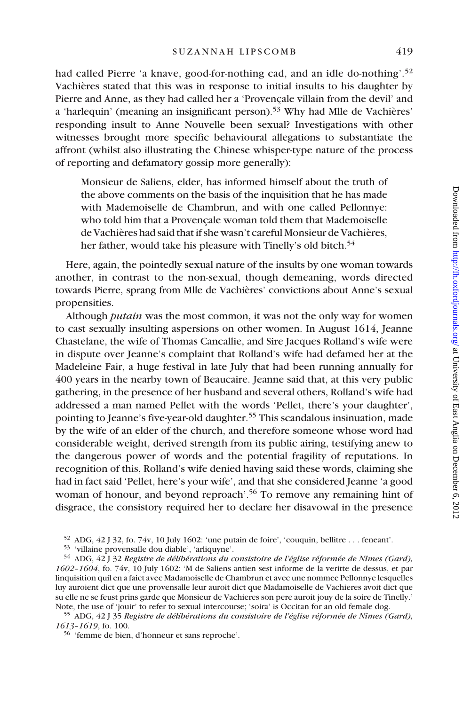had called Pierre 'a knave, good-for-nothing cad, and an idle do-nothing'.<sup>52</sup> Vachières stated that this was in response to initial insults to his daughter by Pierre and Anne, as they had called her a 'Provençale villain from the devil' and a 'harlequin' (meaning an insignificant person).53 Why had Mlle de Vachières' responding insult to Anne Nouvelle been sexual? Investigations with other witnesses brought more specific behavioural allegations to substantiate the affront (whilst also illustrating the Chinese whisper-type nature of the process of reporting and defamatory gossip more generally):

Monsieur de Saliens, elder, has informed himself about the truth of the above comments on the basis of the inquisition that he has made with Mademoiselle de Chambrun, and with one called Pellonnye: who told him that a Provençale woman told them that Mademoiselle de Vachières had said that if she wasn't careful Monsieur de Vachières, her father, would take his pleasure with Tinelly's old bitch.<sup>54</sup>

Here, again, the pointedly sexual nature of the insults by one woman towards another, in contrast to the non-sexual, though demeaning, words directed towards Pierre, sprang from Mlle de Vachières' convictions about Anne's sexual propensities.

Although *putain* was the most common, it was not the only way for women to cast sexually insulting aspersions on other women. In August 1614, Jeanne Chastelane, the wife of Thomas Cancallie, and Sire Jacques Rolland's wife were in dispute over Jeanne's complaint that Rolland's wife had defamed her at the Madeleine Fair, a huge festival in late July that had been running annually for 400 years in the nearby town of Beaucaire. Jeanne said that, at this very public gathering, in the presence of her husband and several others, Rolland's wife had addressed a man named Pellet with the words 'Pellet, there's your daughter', pointing to Jeanne's five-year-old daughter.<sup>55</sup> This scandalous insinuation, made by the wife of an elder of the church, and therefore someone whose word had considerable weight, derived strength from its public airing, testifying anew to the dangerous power of words and the potential fragility of reputations. In recognition of this, Rolland's wife denied having said these words, claiming she had in fact said 'Pellet, here's your wife', and that she considered Jeanne 'a good woman of honour, and beyond reproach'.<sup>56</sup> To remove any remaining hint of disgrace, the consistory required her to declare her disavowal in the presence

<sup>52</sup> ADG, 42 J 32, fo. 74v, 10 July 1602: 'une putain de foire', 'couquin, bellitre . . . feneant'.

<sup>53</sup> 'villaine provensalle dou diable', 'arliquyne'.

<sup>54</sup> ADG, 42 J 32 *Registre de délibérations du consistoire de l'église réformée de Nîmes (Gard), 1602–1604*, fo. 74v, 10 July 1602: 'M de Saliens antien sest informe de la veritte de dessus, et par linquisition quil en a faict avec Madamoiselle de Chambrun et avec une nommee Pellonnye lesquelles luy auroient dict que une provensalle leur auroit dict que Madamoiselle de Vachieres avoit dict que su elle ne se feust prins garde que Monsieur de Vachieres son pere auroit jouy de la soire de Tinelly.' Note, the use of 'jouir' to refer to sexual intercourse; 'soira' is Occitan for an old female dog.

<sup>55</sup> ADG, 42 J 35 *Registre de délibérations du consistoire de l'église réformée de Nîmes (Gard), 1613–1619*, fo. 100.

<sup>56</sup> 'femme de bien, d'honneur et sans reproche'.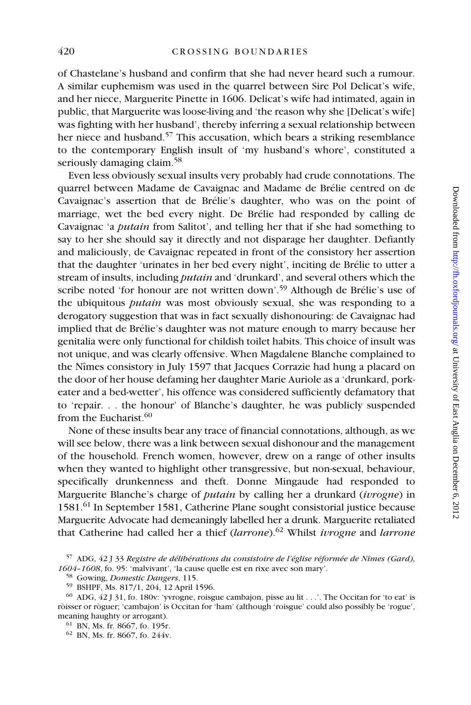of Chastelane's husband and confirm that she had never heard such a rumour. A similar euphemism was used in the quarrel between Sire Pol Delicat's wife, and her niece, Marguerite Pinette in 1606. Delicat's wife had intimated, again in public, that Marguerite was loose-living and 'the reason why she [Delicat's wife] was fighting with her husband', thereby inferring a sexual relationship between her niece and husband.<sup>57</sup> This accusation, which bears a striking resemblance to the contemporary English insult of 'my husband's whore', constituted a seriously damaging claim.<sup>58</sup>

Even less obviously sexual insults very probably had crude connotations. The quarrel between Madame de Cavaignac and Madame de Brélie centred on de Cavaignac's assertion that de Brélie's daughter, who was on the point of marriage, wet the bed every night. De Brélie had responded by calling de Cavaignac 'a *putain* from Salitot', and telling her that if she had something to say to her she should say it directly and not disparage her daughter. Defiantly and maliciously, de Cavaignac repeated in front of the consistory her assertion that the daughter 'urinates in her bed every night', inciting de Brélie to utter a stream of insults, including *putain* and 'drunkard', and several others which the scribe noted 'for honour are not written down'.59 Although de Brélie's use of the ubiquitous *putain* was most obviously sexual, she was responding to a derogatory suggestion that was in fact sexually dishonouring: de Cavaignac had implied that de Brélie's daughter was not mature enough to marry because her genitalia were only functional for childish toilet habits. This choice of insult was not unique, and was clearly offensive. When Magdalene Blanche complained to the Nîmes consistory in July 1597 that Jacques Corrazie had hung a placard on the door of her house defaming her daughter Marie Auriole as a 'drunkard, porkeater and a bed-wetter', his offence was considered sufficiently defamatory that to 'repair. . . the honour' of Blanche's daughter, he was publicly suspended from the Eucharist.<sup>60</sup>

None of these insults bear any trace of financial connotations, although, as we will see below, there was a link between sexual dishonour and the management of the household. French women, however, drew on a range of other insults when they wanted to highlight other transgressive, but non-sexual, behaviour, specifically drunkenness and theft. Donne Mingaude had responded to Marguerite Blanche's charge of *putain* by calling her a drunkard (*ivrogne*) in 1581.61 In September 1581, Catherine Plane sought consistorial justice because Marguerite Advocate had demeaningly labelled her a drunk. Marguerite retaliated that Catherine had called her a thief (*larrone*).62 Whilst *ivrogne* and *larrone*

<sup>59</sup> BSHPF, Ms. 817/1, 204, 12 April 1596.

<sup>57</sup> ADG, 42 J 33 *Registre de délibérations du consistoire de l'église réformée de Nîmes (Gard), 1604–1608*, fo. 95: 'malvivant', 'la cause quelle est en rixe avec son mary'.

<sup>58</sup> Gowing, *Domestic Dangers*, 115.

<sup>60</sup> ADG, 42 J 31, fo. 180v: 'yvrogne, roisgue cambajon, pisse au lit . . .'. The Occitan for 'to eat' is ròisser or ròguer; 'cambajon' is Occitan for 'ham' (although 'roisgue' could also possibly be 'rogue', meaning haughty or arrogant).

<sup>61</sup> BN, Ms. fr. 8667, fo. 195r.

<sup>62</sup> BN, Ms. fr. 8667, fo. 244v.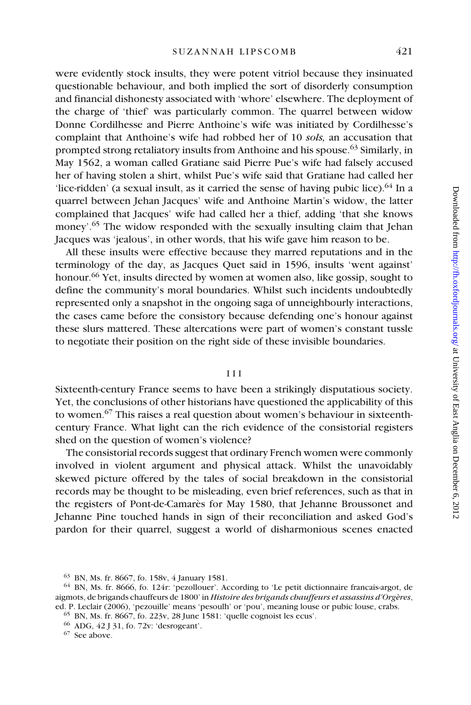were evidently stock insults, they were potent vitriol because they insinuated questionable behaviour, and both implied the sort of disorderly consumption and financial dishonesty associated with 'whore' elsewhere. The deployment of the charge of 'thief' was particularly common. The quarrel between widow Donne Cordilhesse and Pierre Anthoine's wife was initiated by Cordilhesse's complaint that Anthoine's wife had robbed her of 10 *sols,* an accusation that prompted strong retaliatory insults from Anthoine and his spouse.<sup>63</sup> Similarly, in May 1562, a woman called Gratiane said Pierre Pue's wife had falsely accused her of having stolen a shirt, whilst Pue's wife said that Gratiane had called her 'lice-ridden' (a sexual insult, as it carried the sense of having pubic lice). $64$  In a quarrel between Jehan Jacques' wife and Anthoine Martin's widow, the latter complained that Jacques' wife had called her a thief, adding 'that she knows money'.<sup>65</sup> The widow responded with the sexually insulting claim that Jehan Jacques was 'jealous', in other words, that his wife gave him reason to be.

All these insults were effective because they marred reputations and in the terminology of the day, as Jacques Quet said in 1596, insults 'went against' honour.<sup>66</sup> Yet, insults directed by women at women also, like gossip, sought to define the community's moral boundaries. Whilst such incidents undoubtedly represented only a snapshot in the ongoing saga of unneighbourly interactions, the cases came before the consistory because defending one's honour against these slurs mattered. These altercations were part of women's constant tussle to negotiate their position on the right side of these invisible boundaries.

## I I I

Sixteenth-century France seems to have been a strikingly disputatious society. Yet, the conclusions of other historians have questioned the applicability of this to women.67 This raises a real question about women's behaviour in sixteenthcentury France. What light can the rich evidence of the consistorial registers shed on the question of women's violence?

The consistorial records suggest that ordinary French women were commonly involved in violent argument and physical attack. Whilst the unavoidably skewed picture offered by the tales of social breakdown in the consistorial records may be thought to be misleading, even brief references, such as that in the registers of Pont-de-Camarès for May 1580, that Jehanne Broussonet and Jehanne Pine touched hands in sign of their reconciliation and asked God's pardon for their quarrel, suggest a world of disharmonious scenes enacted

<sup>63</sup> BN, Ms. fr. 8667, fo. 158v, 4 January 1581.

<sup>64</sup> BN, Ms. fr. 8666, fo. 124r: 'pezollouer'. According to 'Le petit dictionnaire francais-argot, de aigmots, de brigands chauffeurs de 1800' in *Histoire des brigands chauffeurs et assassins d'Orgères*, ed. P. Leclair (2006), 'pezouille' means 'pesoulh' or 'pou', meaning louse or pubic louse, crabs.

<sup>65</sup> BN, Ms. fr. 8667, fo. 223v, 28 June 1581: 'quelle cognoist les ecus'.

<sup>66</sup> ADG, 42 J 31, fo. 72v: 'desrogeant'.

<sup>67</sup> See above.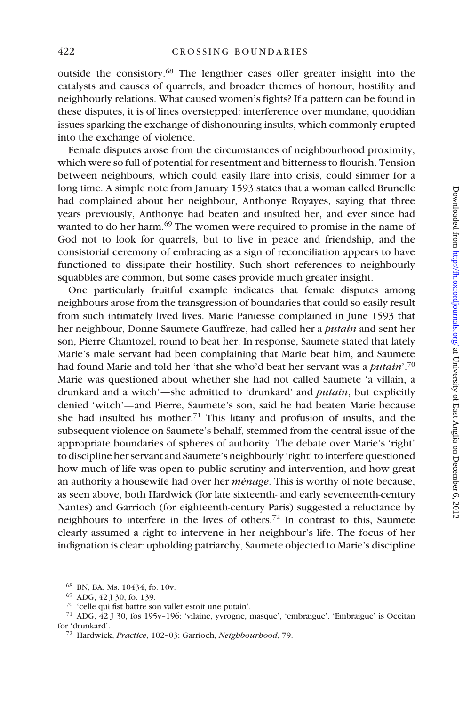outside the consistory.68 The lengthier cases offer greater insight into the catalysts and causes of quarrels, and broader themes of honour, hostility and neighbourly relations. What caused women's fights? If a pattern can be found in these disputes, it is of lines overstepped: interference over mundane, quotidian issues sparking the exchange of dishonouring insults, which commonly erupted into the exchange of violence.

Female disputes arose from the circumstances of neighbourhood proximity, which were so full of potential for resentment and bitterness to flourish. Tension between neighbours, which could easily flare into crisis, could simmer for a long time. A simple note from January 1593 states that a woman called Brunelle had complained about her neighbour, Anthonye Royayes, saying that three years previously, Anthonye had beaten and insulted her, and ever since had wanted to do her harm.<sup>69</sup> The women were required to promise in the name of God not to look for quarrels, but to live in peace and friendship, and the consistorial ceremony of embracing as a sign of reconciliation appears to have functioned to dissipate their hostility. Such short references to neighbourly squabbles are common, but some cases provide much greater insight.

One particularly fruitful example indicates that female disputes among neighbours arose from the transgression of boundaries that could so easily result from such intimately lived lives. Marie Paniesse complained in June 1593 that her neighbour, Donne Saumete Gauffreze, had called her a *putain* and sent her son, Pierre Chantozel, round to beat her. In response, Saumete stated that lately Marie's male servant had been complaining that Marie beat him, and Saumete had found Marie and told her 'that she who'd beat her servant was a *putain*'.70 Marie was questioned about whether she had not called Saumete 'a villain, a drunkard and a witch'—she admitted to 'drunkard' and *putain*, but explicitly denied 'witch'—and Pierre, Saumete's son, said he had beaten Marie because she had insulted his mother.<sup>71</sup> This litany and profusion of insults, and the subsequent violence on Saumete's behalf, stemmed from the central issue of the appropriate boundaries of spheres of authority. The debate over Marie's 'right' to discipline her servant and Saumete's neighbourly 'right' to interfere questioned how much of life was open to public scrutiny and intervention, and how great an authority a housewife had over her *ménage*. This is worthy of note because, as seen above, both Hardwick (for late sixteenth- and early seventeenth-century Nantes) and Garrioch (for eighteenth-century Paris) suggested a reluctance by neighbours to interfere in the lives of others.72 In contrast to this, Saumete clearly assumed a right to intervene in her neighbour's life. The focus of her indignation is clear: upholding patriarchy, Saumete objected to Marie's discipline

<sup>68</sup> BN, BA, Ms. 10434, fo. 10v.

<sup>69</sup> ADG, 42 J 30, fo. 139.

<sup>70</sup> 'celle qui fist battre son vallet estoit une putain'.

<sup>71</sup> ADG, 42 J 30, fos 195v–196: 'vilaine, yvrogne, masque', 'embraigue'. 'Embraigue' is Occitan for 'drunkard'.

<sup>72</sup> Hardwick, *Practice*, 102–03; Garrioch, *Neighbourhood*, 79.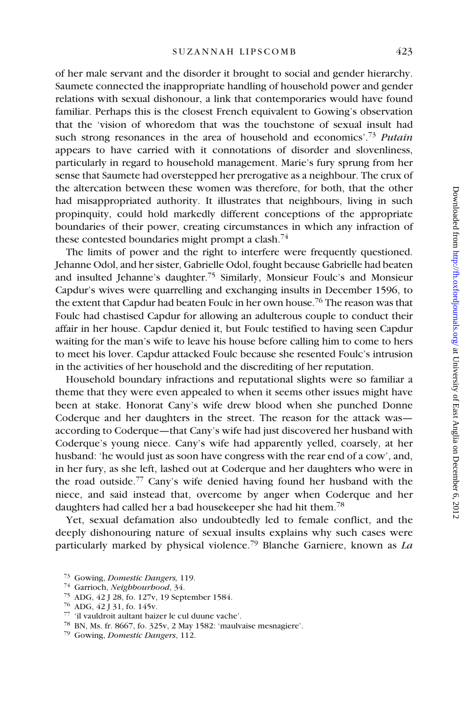of her male servant and the disorder it brought to social and gender hierarchy. Saumete connected the inappropriate handling of household power and gender relations with sexual dishonour, a link that contemporaries would have found familiar. Perhaps this is the closest French equivalent to Gowing's observation that the 'vision of whoredom that was the touchstone of sexual insult had such strong resonances in the area of household and economics'.73 *Putain* appears to have carried with it connotations of disorder and slovenliness, particularly in regard to household management. Marie's fury sprung from her sense that Saumete had overstepped her prerogative as a neighbour. The crux of the altercation between these women was therefore, for both, that the other had misappropriated authority. It illustrates that neighbours, living in such propinquity, could hold markedly different conceptions of the appropriate boundaries of their power, creating circumstances in which any infraction of these contested boundaries might prompt a clash.<sup>74</sup>

The limits of power and the right to interfere were frequently questioned. Jehanne Odol, and her sister, Gabrielle Odol, fought because Gabrielle had beaten and insulted Jehanne's daughter.75 Similarly, Monsieur Foulc's and Monsieur Capdur's wives were quarrelling and exchanging insults in December 1596, to the extent that Capdur had beaten Foulc in her own house.<sup>76</sup> The reason was that Foulc had chastised Capdur for allowing an adulterous couple to conduct their affair in her house. Capdur denied it, but Foulc testified to having seen Capdur waiting for the man's wife to leave his house before calling him to come to hers to meet his lover. Capdur attacked Foulc because she resented Foulc's intrusion in the activities of her household and the discrediting of her reputation.

Household boundary infractions and reputational slights were so familiar a theme that they were even appealed to when it seems other issues might have been at stake. Honorat Cany's wife drew blood when she punched Donne Coderque and her daughters in the street. The reason for the attack was according to Coderque—that Cany's wife had just discovered her husband with Coderque's young niece. Cany's wife had apparently yelled, coarsely, at her husband: 'he would just as soon have congress with the rear end of a cow', and, in her fury, as she left, lashed out at Coderque and her daughters who were in the road outside.<sup>77</sup> Cany's wife denied having found her husband with the niece, and said instead that, overcome by anger when Coderque and her daughters had called her a bad housekeeper she had hit them.<sup>78</sup>

Yet, sexual defamation also undoubtedly led to female conflict, and the deeply dishonouring nature of sexual insults explains why such cases were particularly marked by physical violence.79 Blanche Garniere, known as *La* 

<sup>74</sup> Garrioch, *Neighbourhood*, 34.

<sup>73</sup> Gowing, *Domestic Dangers,* 119.

<sup>75</sup> ADG, 42 J 28, fo. 127v, 19 September 1584.

<sup>76</sup> ADG, 42 J 31, fo. 145v.

<sup>77</sup> 'il vauldroit aultant baizer le cul duune vache'.

<sup>78</sup> BN, Ms. fr. 8667, fo. 325v, 2 May 1582: 'maulvaise mesnagiere'.

<sup>79</sup> Gowing, *Domestic Dangers*, 112.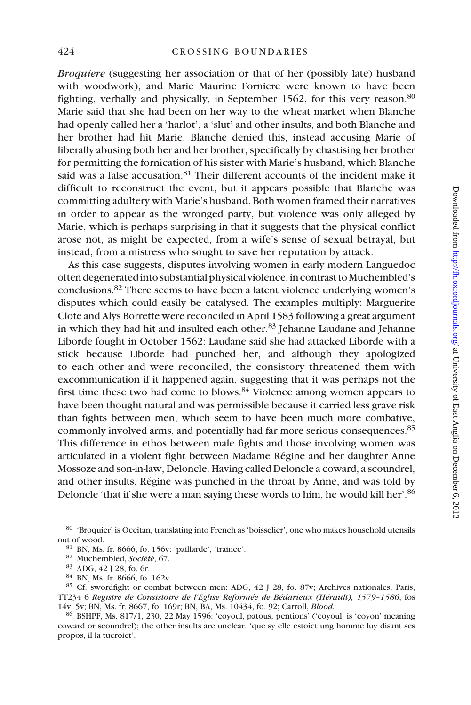*Broquiere* (suggesting her association or that of her (possibly late) husband with woodwork), and Marie Maurine Forniere were known to have been fighting, verbally and physically, in September 1562, for this very reason.<sup>80</sup> Marie said that she had been on her way to the wheat market when Blanche had openly called her a 'harlot', a 'slut' and other insults, and both Blanche and her brother had hit Marie. Blanche denied this, instead accusing Marie of liberally abusing both her and her brother, specifically by chastising her brother for permitting the fornication of his sister with Marie's husband, which Blanche said was a false accusation.<sup>81</sup> Their different accounts of the incident make it difficult to reconstruct the event, but it appears possible that Blanche was committing adultery with Marie's husband. Both women framed their narratives in order to appear as the wronged party, but violence was only alleged by Marie, which is perhaps surprising in that it suggests that the physical conflict arose not, as might be expected, from a wife's sense of sexual betrayal, but instead, from a mistress who sought to save her reputation by attack.

As this case suggests, disputes involving women in early modern Languedoc often degenerated into substantial physical violence, in contrast to Muchembled's conclusions.82 There seems to have been a latent violence underlying women's disputes which could easily be catalysed. The examples multiply: Marguerite Clote and Alys Borrette were reconciled in April 1583 following a great argument in which they had hit and insulted each other.<sup>83</sup> Jehanne Laudane and Jehanne Liborde fought in October 1562: Laudane said she had attacked Liborde with a stick because Liborde had punched her, and although they apologized to each other and were reconciled, the consistory threatened them with excommunication if it happened again, suggesting that it was perhaps not the first time these two had come to blows.84 Violence among women appears to have been thought natural and was permissible because it carried less grave risk than fights between men, which seem to have been much more combative, commonly involved arms, and potentially had far more serious consequences.<sup>85</sup> This difference in ethos between male fights and those involving women was articulated in a violent fight between Madame Régine and her daughter Anne Mossoze and son-in-law, Deloncle. Having called Deloncle a coward, a scoundrel, and other insults, Régine was punched in the throat by Anne, and was told by Deloncle 'that if she were a man saying these words to him, he would kill her'.<sup>86</sup>

80 'Broquier' is Occitan, translating into French as 'boisselier', one who makes household utensils out of wood.

- <sup>81</sup> BN, Ms. fr. 8666, fo. 156v: 'paillarde', 'trainee'.
- <sup>82</sup> Muchembled, *Société*, 67.
- <sup>83</sup> ADG, 42 J 28, fo. 6r.
- <sup>84</sup> BN, Ms. fr. 8666, fo. 162v.

<sup>85</sup> Cf. swordfight or combat between men: ADG, 42 J 28, fo. 87v; Archives nationales, Paris, TT234 6 *Registre de Consistoire de l'Eglise Reformée de Bédarieux (Hérault), 1579–1586*, fos 14v, 5v; BN, Ms. fr. 8667, fo. 169r; BN, BA, Ms. 10434, fo. 92; Carroll, *Blood.*

<sup>86</sup> BSHPF, Ms. 817/1, 230, 22 May 1596: 'coyoul, patous, pentions' ('coyoul' is 'coyon' meaning coward or scoundrel); the other insults are unclear. 'que sy elle estoict ung homme luy disant ses propos, il la tueroict'.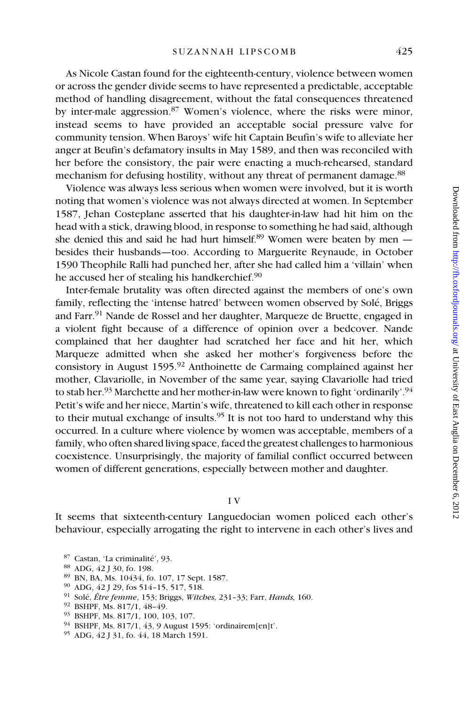As Nicole Castan found for the eighteenth-century, violence between women or across the gender divide seems to have represented a predictable, acceptable method of handling disagreement, without the fatal consequences threatened by inter-male aggression.<sup>87</sup> Women's violence, where the risks were minor, instead seems to have provided an acceptable social pressure valve for community tension. When Baroys' wife hit Captain Beufin's wife to alleviate her anger at Beufin's defamatory insults in May 1589, and then was reconciled with her before the consistory, the pair were enacting a much-rehearsed, standard mechanism for defusing hostility, without any threat of permanent damage.<sup>88</sup>

Violence was always less serious when women were involved, but it is worth noting that women's violence was not always directed at women. In September 1587, Jehan Costeplane asserted that his daughter-in-law had hit him on the head with a stick, drawing blood, in response to something he had said, although she denied this and said he had hurt himself.<sup>89</sup> Women were beaten by men  $$ besides their husbands—too. According to Marguerite Reynaude, in October 1590 Theophile Ralli had punched her, after she had called him a 'villain' when he accused her of stealing his handkerchief.<sup>90</sup>

Inter-female brutality was often directed against the members of one's own family, reflecting the 'intense hatred' between women observed by Solé, Briggs and Farr.<sup>91</sup> Nande de Rossel and her daughter, Marqueze de Bruette, engaged in a violent fight because of a difference of opinion over a bedcover. Nande complained that her daughter had scratched her face and hit her, which Marqueze admitted when she asked her mother's forgiveness before the consistory in August  $1595<sup>92</sup>$  Anthoinette de Carmaing complained against her mother, Clavariolle, in November of the same year, saying Clavariolle had tried to stab her.<sup>93</sup> Marchette and her mother-in-law were known to fight 'ordinarily'.<sup>94</sup> Petit's wife and her niece, Martin's wife, threatened to kill each other in response to their mutual exchange of insults.<sup>95</sup> It is not too hard to understand why this occurred. In a culture where violence by women was acceptable, members of a family, who often shared living space, faced the greatest challenges to harmonious coexistence. Unsurprisingly, the majority of familial conflict occurred between women of different generations, especially between mother and daughter.

## I V

It seems that sixteenth-century Languedocian women policed each other's behaviour, especially arrogating the right to intervene in each other's lives and

<sup>87</sup> Castan, 'La criminalité', 93.

- <sup>88</sup> ADG, 42 J 30, fo. 198.
- <sup>89</sup> BN, BA, Ms. 10434, fo. 107, 17 Sept. 1587.
- <sup>90</sup> ADG, 42 J 29, fos 514–15, 517, 518.
- <sup>91</sup> Solé, *Être femme*, 153; Briggs, *Witches,* 231–33; Farr, *Hands,* 160.
- <sup>92</sup> BSHPF, Ms. 817/1, 48–49.
- <sup>93</sup> BSHPF, Ms. 817/1, 100, 103, 107.
- <sup>94</sup> BSHPF, Ms. 817/1, 43, 9 August 1595: 'ordinairem[en]t'.
- <sup>95</sup> ADG, 42 J 31, fo. 44, 18 March 1591.